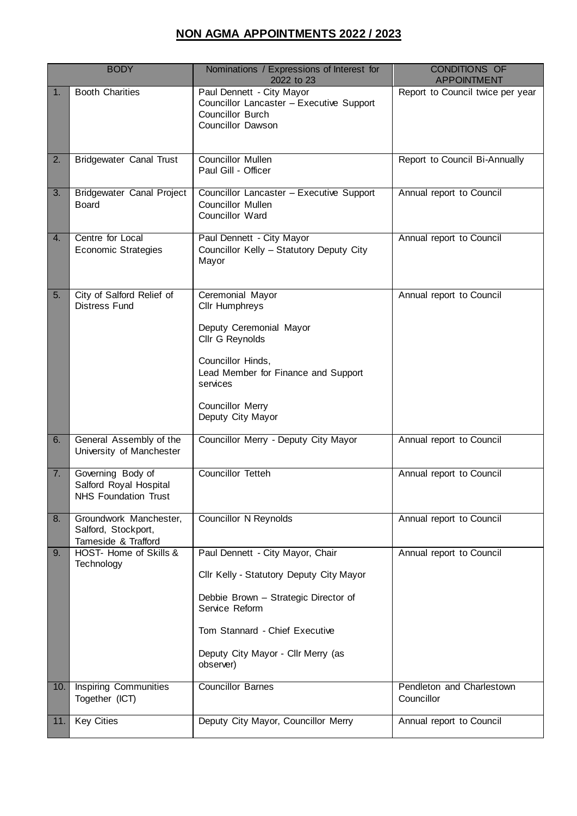## **NON AGMA APPOINTMENTS 2022 / 2023**

| <b>BODY</b> |                                                                      | Nominations / Expressions of Interest for<br>2022 to 23                                                                                                                                                                     | <b>CONDITIONS OF</b><br><b>APPOINTMENT</b> |
|-------------|----------------------------------------------------------------------|-----------------------------------------------------------------------------------------------------------------------------------------------------------------------------------------------------------------------------|--------------------------------------------|
| 1.          | <b>Booth Charities</b>                                               | Paul Dennett - City Mayor<br>Councillor Lancaster - Executive Support<br><b>Councillor Burch</b><br><b>Councillor Dawson</b>                                                                                                | Report to Council twice per year           |
| 2.          | <b>Bridgewater Canal Trust</b>                                       | <b>Councillor Mullen</b><br>Paul Gill - Officer                                                                                                                                                                             | Report to Council Bi-Annually              |
| 3.          | <b>Bridgewater Canal Project</b><br><b>Board</b>                     | Councillor Lancaster - Executive Support<br><b>Councillor Mullen</b><br>Councillor Ward                                                                                                                                     | Annual report to Council                   |
| 4.          | Centre for Local<br><b>Economic Strategies</b>                       | Paul Dennett - City Mayor<br>Councillor Kelly - Statutory Deputy City<br>Mayor                                                                                                                                              | Annual report to Council                   |
| 5.          | City of Salford Relief of<br><b>Distress Fund</b>                    | Ceremonial Mayor<br>Cllr Humphreys<br>Deputy Ceremonial Mayor<br>Cllr G Reynolds<br>Councillor Hinds,<br>Lead Member for Finance and Support<br>services<br><b>Councillor Merry</b><br>Deputy City Mayor                    | Annual report to Council                   |
| 6.          | General Assembly of the<br>University of Manchester                  | Councillor Merry - Deputy City Mayor                                                                                                                                                                                        | Annual report to Council                   |
| 7.          | Governing Body of<br>Salford Royal Hospital<br>NHS Foundation Trust  | Councillor Tetteh                                                                                                                                                                                                           | Annual report to Council                   |
| 8.          | Groundwork Manchester,<br>Salford, Stockport,<br>Tameside & Trafford | <b>Councillor N Reynolds</b>                                                                                                                                                                                                | Annual report to Council                   |
| 9.          | HOST- Home of Skills &<br>Technology                                 | Paul Dennett - City Mayor, Chair<br>Cllr Kelly - Statutory Deputy City Mayor<br>Debbie Brown - Strategic Director of<br>Service Reform<br>Tom Stannard - Chief Executive<br>Deputy City Mayor - Cllr Merry (as<br>observer) | Annual report to Council                   |
| 10.         | <b>Inspiring Communities</b><br>Together (ICT)                       | <b>Councillor Barnes</b>                                                                                                                                                                                                    | Pendleton and Charlestown<br>Councillor    |
| 11.         | <b>Key Cities</b>                                                    | Deputy City Mayor, Councillor Merry                                                                                                                                                                                         | Annual report to Council                   |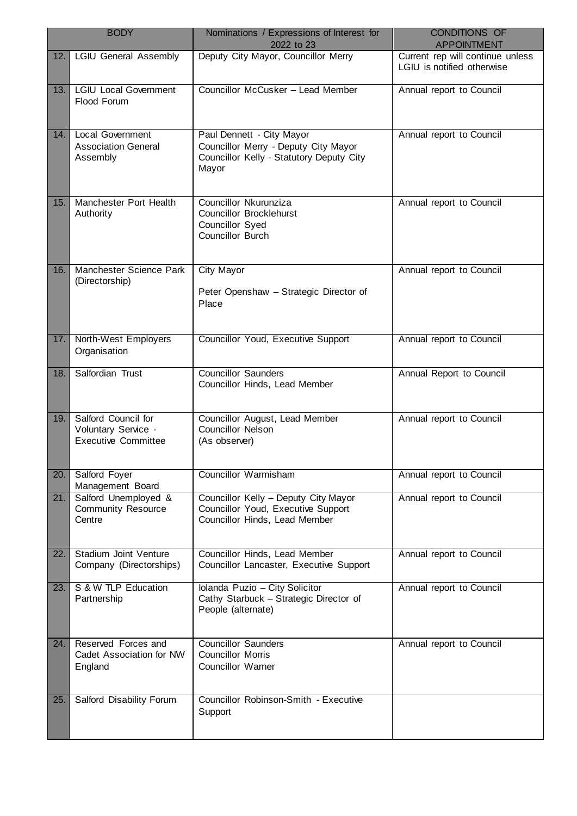| <b>BODY</b> |                                                                          | Nominations / Expressions of Interest for<br>2022 to 23                                                                | <b>CONDITIONS OF</b><br><b>APPOINTMENT</b>                     |
|-------------|--------------------------------------------------------------------------|------------------------------------------------------------------------------------------------------------------------|----------------------------------------------------------------|
| 12.         | <b>LGIU General Assembly</b>                                             | Deputy City Mayor, Councillor Merry                                                                                    | Current rep will continue unless<br>LGIU is notified otherwise |
| 13.         | <b>LGIU Local Government</b><br>Flood Forum                              | Councillor McCusker - Lead Member                                                                                      | Annual report to Council                                       |
| 14.         | <b>Local Government</b><br><b>Association General</b><br>Assembly        | Paul Dennett - City Mayor<br>Councillor Merry - Deputy City Mayor<br>Councillor Kelly - Statutory Deputy City<br>Mayor | Annual report to Council                                       |
| 15.         | Manchester Port Health<br>Authority                                      | Councillor Nkurunziza<br><b>Councillor Brocklehurst</b><br>Councillor Syed<br><b>Councillor Burch</b>                  | Annual report to Council                                       |
| 16.         | Manchester Science Park<br>(Directorship)                                | City Mayor<br>Peter Openshaw - Strategic Director of<br>Place                                                          | Annual report to Council                                       |
| 17.         | North-West Employers<br>Organisation                                     | Councillor Youd, Executive Support                                                                                     | Annual report to Council                                       |
| 18.         | Salfordian Trust                                                         | <b>Councillor Saunders</b><br>Councillor Hinds, Lead Member                                                            | Annual Report to Council                                       |
| 19.         | Salford Council for<br>Voluntary Service -<br><b>Executive Committee</b> | Councillor August, Lead Member<br><b>Councillor Nelson</b><br>(As observer)                                            | Annual report to Council                                       |
| 20.         | Salford Foyer<br>Management Board                                        | <b>Councillor Warmisham</b>                                                                                            | Annual report to Council                                       |
| 21.         | Salford Unemployed &<br><b>Community Resource</b><br>Centre              | Councillor Kelly - Deputy City Mayor<br>Councillor Youd, Executive Support<br>Councillor Hinds, Lead Member            | Annual report to Council                                       |
| 22.         | Stadium Joint Venture<br>Company (Directorships)                         | Councillor Hinds, Lead Member<br>Councillor Lancaster, Executive Support                                               | Annual report to Council                                       |
| 23.         | S & W TLP Education<br>Partnership                                       | Iolanda Puzio - City Solicitor<br>Cathy Starbuck - Strategic Director of<br>People (alternate)                         | Annual report to Council                                       |
| 24.         | Reserved Forces and<br>Cadet Association for NW<br>England               | <b>Councillor Saunders</b><br><b>Councillor Morris</b><br><b>Councillor Warner</b>                                     | Annual report to Council                                       |
| 25.         | Salford Disability Forum                                                 | Councillor Robinson-Smith - Executive<br>Support                                                                       |                                                                |